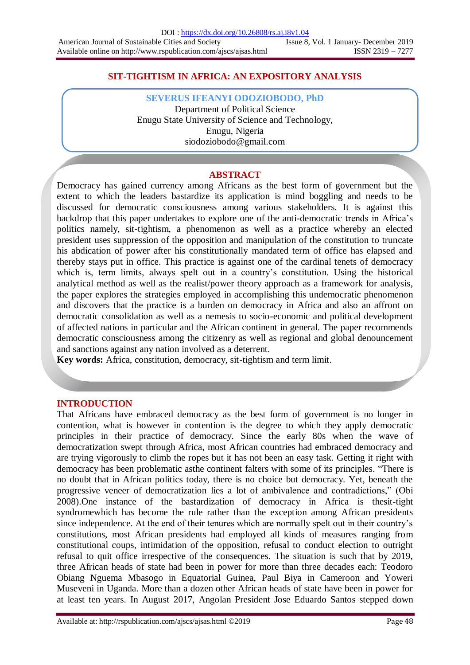# **SIT-TIGHTISM IN AFRICA: AN EXPOSITORY ANALYSIS**

**SEVERUS IFEANYI ODOZIOBODO, PhD**

Department of Political Science Enugu State University of Science and Technology, Enugu, Nigeria siodoziobodo@gmail.com

#### **ABSTRACT**

Democracy has gained currency among Africans as the best form of government but the extent to which the leaders bastardize its application is mind boggling and needs to be discussed for democratic consciousness among various stakeholders. It is against this backdrop that this paper undertakes to explore one of the anti-democratic trends in Africa"s politics namely, sit-tightism, a phenomenon as well as a practice whereby an elected president uses suppression of the opposition and manipulation of the constitution to truncate his abdication of power after his constitutionally mandated term of office has elapsed and thereby stays put in office. This practice is against one of the cardinal tenets of democracy which is, term limits, always spelt out in a country's constitution. Using the historical analytical method as well as the realist/power theory approach as a framework for analysis, the paper explores the strategies employed in accomplishing this undemocratic phenomenon and discovers that the practice is a burden on democracy in Africa and also an affront on democratic consolidation as well as a nemesis to socio-economic and political development of affected nations in particular and the African continent in general. The paper recommends democratic consciousness among the citizenry as well as regional and global denouncement and sanctions against any nation involved as a deterrent.

**Key words:** Africa, constitution, democracy, sit-tightism and term limit.

### **INTRODUCTION**

That Africans have embraced democracy as the best form of government is no longer in contention, what is however in contention is the degree to which they apply democratic principles in their practice of democracy. Since the early 80s when the wave of democratization swept through Africa, most African countries had embraced democracy and are trying vigorously to climb the ropes but it has not been an easy task. Getting it right with democracy has been problematic asthe continent falters with some of its principles. "There is no doubt that in African politics today, there is no choice but democracy. Yet, beneath the progressive veneer of democratization lies a lot of ambivalence and contradictions," (Obi 2008).One instance of the bastardization of democracy in Africa is thesit-tight syndromewhich has become the rule rather than the exception among African presidents since independence. At the end of their tenures which are normally spelt out in their country"s constitutions, most African presidents had employed all kinds of measures ranging from constitutional coups, intimidation of the opposition, refusal to conduct election to outright refusal to quit office irrespective of the consequences. The situation is such that by 2019, three African heads of state had been in power for more than three decades each: Teodoro Obiang Nguema Mbasogo in Equatorial Guinea, Paul Biya in Cameroon and Yoweri Museveni in Uganda. More than a dozen other African heads of state have been in power for at least ten years. In August 2017, Angolan President Jose Eduardo Santos stepped down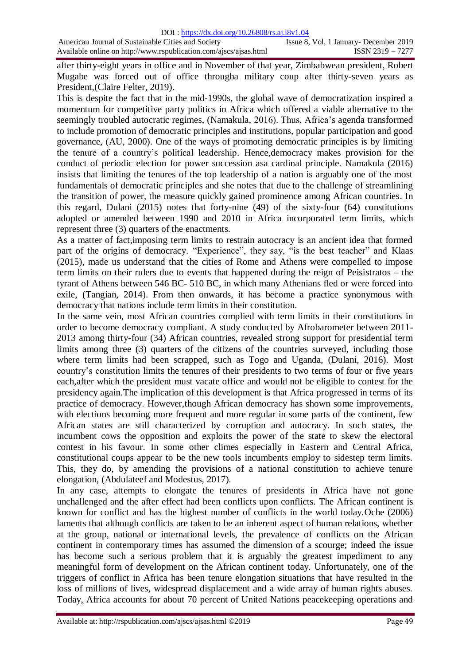after thirty-eight years in office and in November of that year, Zimbabwean president, Robert Mugabe was forced out of office througha military coup after thirty-seven years as President,(Claire Felter, 2019).

This is despite the fact that in the mid-1990s, the global wave of democratization inspired a momentum for competitive party politics in Africa which offered a viable alternative to the seemingly troubled autocratic regimes, (Namakula, 2016). Thus, Africa's agenda transformed to include promotion of democratic principles and institutions, popular participation and good governance, (AU, 2000). One of the ways of promoting democratic principles is by limiting the tenure of a country"s political leadership. Hence,democracy makes provision for the conduct of periodic election for power succession asa cardinal principle. Namakula (2016) insists that limiting the tenures of the top leadership of a nation is arguably one of the most fundamentals of democratic principles and she notes that due to the challenge of streamlining the transition of power, the measure quickly gained prominence among African countries. In this regard, Dulani (2015) notes that forty-nine (49) of the sixty-four (64) constitutions adopted or amended between 1990 and 2010 in Africa incorporated term limits, which represent three (3) quarters of the enactments.

As a matter of fact,imposing term limits to restrain autocracy is an ancient idea that formed part of the origins of democracy. "Experience", they say, "is the best teacher" and Klaas (2015), made us understand that the cities of Rome and Athens were compelled to impose term limits on their rulers due to events that happened during the reign of Peisistratos – the tyrant of Athens between 546 BC- 510 BC, in which many Athenians fled or were forced into exile, (Tangian, 2014). From then onwards, it has become a practice synonymous with democracy that nations include term limits in their constitution.

In the same vein, most African countries complied with term limits in their constitutions in order to become democracy compliant. A study conducted by Afrobarometer between 2011- 2013 among thirty-four (34) African countries, revealed strong support for presidential term limits among three (3) quarters of the citizens of the countries surveyed, including those where term limits had been scrapped, such as Togo and Uganda, (Dulani, 2016). Most country"s constitution limits the tenures of their presidents to two terms of four or five years each,after which the president must vacate office and would not be eligible to contest for the presidency again.The implication of this development is that Africa progressed in terms of its practice of democracy. However,though African democracy has shown some improvements, with elections becoming more frequent and more regular in some parts of the continent, few African states are still characterized by corruption and autocracy. In such states, the incumbent cows the opposition and exploits the power of the state to skew the electoral contest in his favour. In some other climes especially in Eastern and Central Africa, constitutional coups appear to be the new tools incumbents employ to sidestep term limits. This, they do, by amending the provisions of a national constitution to achieve tenure elongation, (Abdulateef and Modestus, 2017).

In any case, attempts to elongate the tenures of presidents in Africa have not gone unchallenged and the after effect had been conflicts upon conflicts. The African continent is known for conflict and has the highest number of conflicts in the world today.Oche (2006) laments that although conflicts are taken to be an inherent aspect of human relations, whether at the group, national or international levels, the prevalence of conflicts on the African continent in contemporary times has assumed the dimension of a scourge; indeed the issue has become such a serious problem that it is arguably the greatest impediment to any meaningful form of development on the African continent today. Unfortunately, one of the triggers of conflict in Africa has been tenure elongation situations that have resulted in the loss of millions of lives, widespread displacement and a wide array of human rights abuses. Today, Africa accounts for about 70 percent of United Nations peacekeeping operations and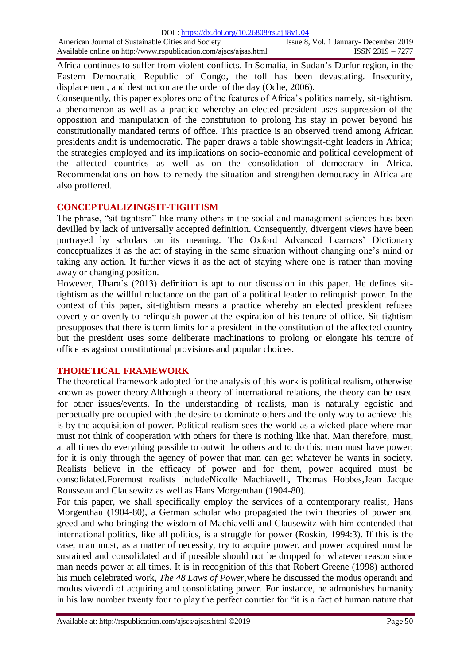Africa continues to suffer from violent conflicts. In Somalia, in Sudan"s Darfur region, in the Eastern Democratic Republic of Congo, the toll has been devastating. Insecurity, displacement, and destruction are the order of the day (Oche, 2006).

Consequently, this paper explores one of the features of Africa"s politics namely, sit-tightism, a phenomenon as well as a practice whereby an elected president uses suppression of the opposition and manipulation of the constitution to prolong his stay in power beyond his constitutionally mandated terms of office. This practice is an observed trend among African presidents andit is undemocratic. The paper draws a table showingsit-tight leaders in Africa; the strategies employed and its implications on socio-economic and political development of the affected countries as well as on the consolidation of democracy in Africa. Recommendations on how to remedy the situation and strengthen democracy in Africa are also proffered.

# **CONCEPTUALIZINGSIT-TIGHTISM**

The phrase, "sit-tightism" like many others in the social and management sciences has been devilled by lack of universally accepted definition. Consequently, divergent views have been portrayed by scholars on its meaning. The Oxford Advanced Learners" Dictionary conceptualizes it as the act of staying in the same situation without changing one"s mind or taking any action. It further views it as the act of staying where one is rather than moving away or changing position.

However, Uhara"s (2013) definition is apt to our discussion in this paper. He defines sittightism as the willful reluctance on the part of a political leader to relinquish power. In the context of this paper, sit-tightism means a practice whereby an elected president refuses covertly or overtly to relinquish power at the expiration of his tenure of office. Sit-tightism presupposes that there is term limits for a president in the constitution of the affected country but the president uses some deliberate machinations to prolong or elongate his tenure of office as against constitutional provisions and popular choices.

# **THORETICAL FRAMEWORK**

The theoretical framework adopted for the analysis of this work is political realism, otherwise known as power theory.Although a theory of international relations, the theory can be used for other issues/events. In the understanding of realists, man is naturally egoistic and perpetually pre-occupied with the desire to dominate others and the only way to achieve this is by the acquisition of power. Political realism sees the world as a wicked place where man must not think of cooperation with others for there is nothing like that. Man therefore, must, at all times do everything possible to outwit the others and to do this; man must have power; for it is only through the agency of power that man can get whatever he wants in society. Realists believe in the efficacy of power and for them, power acquired must be consolidated.Foremost realists includeNicolle Machiavelli, Thomas Hobbes,Jean Jacque Rousseau and Clausewitz as well as Hans Morgenthau (1904-80).

For this paper, we shall specifically employ the services of a contemporary realist, Hans Morgenthau (1904-80), a German scholar who propagated the twin theories of power and greed and who bringing the wisdom of Machiavelli and Clausewitz with him contended that international politics, like all politics, is a struggle for power (Roskin, 1994:3). If this is the case, man must, as a matter of necessity, try to acquire power, and power acquired must be sustained and consolidated and if possible should not be dropped for whatever reason since man needs power at all times. It is in recognition of this that Robert Greene (1998) authored his much celebrated work, *The 48 Laws of Power,*where he discussed the modus operandi and modus vivendi of acquiring and consolidating power. For instance, he admonishes humanity in his law number twenty four to play the perfect courtier for "it is a fact of human nature that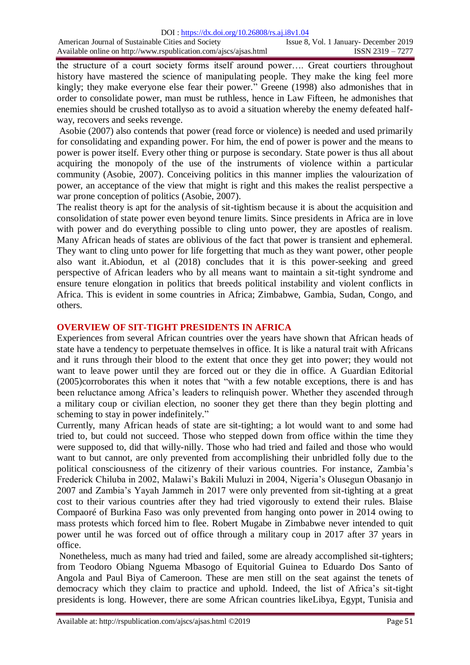the structure of a court society forms itself around power…. Great courtiers throughout history have mastered the science of manipulating people. They make the king feel more kingly; they make everyone else fear their power." Greene (1998) also admonishes that in order to consolidate power, man must be ruthless, hence in Law Fifteen, he admonishes that enemies should be crushed totallyso as to avoid a situation whereby the enemy defeated halfway, recovers and seeks revenge.

Asobie (2007) also contends that power (read force or violence) is needed and used primarily for consolidating and expanding power. For him, the end of power is power and the means to power is power itself. Every other thing or purpose is secondary. State power is thus all about acquiring the monopoly of the use of the instruments of violence within a particular community (Asobie, 2007). Conceiving politics in this manner implies the valourization of power, an acceptance of the view that might is right and this makes the realist perspective a war prone conception of politics (Asobie, 2007).

The realist theory is apt for the analysis of sit-tightism because it is about the acquisition and consolidation of state power even beyond tenure limits. Since presidents in Africa are in love with power and do everything possible to cling unto power, they are apostles of realism. Many African heads of states are oblivious of the fact that power is transient and ephemeral. They want to cling unto power for life forgetting that much as they want power, other people also want it.Abiodun, et al (2018) concludes that it is this power-seeking and greed perspective of African leaders who by all means want to maintain a sit-tight syndrome and ensure tenure elongation in politics that breeds political instability and violent conflicts in Africa. This is evident in some countries in Africa; Zimbabwe, Gambia, Sudan, Congo, and others.

### **OVERVIEW OF SIT-TIGHT PRESIDENTS IN AFRICA**

Experiences from several African countries over the years have shown that African heads of state have a tendency to perpetuate themselves in office. It is like a natural trait with Africans and it runs through their blood to the extent that once they get into power; they would not want to leave power until they are forced out or they die in office. A Guardian Editorial (2005)corroborates this when it notes that "with a few notable exceptions, there is and has been reluctance among Africa's leaders to relinquish power. Whether they ascended through a military coup or civilian election, no sooner they get there than they begin plotting and scheming to stay in power indefinitely."

Currently, many African heads of state are sit-tighting; a lot would want to and some had tried to, but could not succeed. Those who stepped down from office within the time they were supposed to, did that willy-nilly. Those who had tried and failed and those who would want to but cannot, are only prevented from accomplishing their unbridled folly due to the political consciousness of the citizenry of their various countries. For instance, Zambia"s Frederick Chiluba in 2002, Malawi"s Bakili Muluzi in 2004, Nigeria"s Olusegun Obasanjo in 2007 and Zambia"s Yayah Jammeh in 2017 were only prevented from sit-tighting at a great cost to their various countries after they had tried vigorously to extend their rules. Blaise Compaoré of Burkina Faso was only prevented from hanging onto power in 2014 owing to mass protests which forced him to flee. Robert Mugabe in Zimbabwe never intended to quit power until he was forced out of office through a military coup in 2017 after 37 years in office.

Nonetheless, much as many had tried and failed, some are already accomplished sit-tighters; from Teodoro Obiang Nguema Mbasogo of Equitorial Guinea to Eduardo Dos Santo of Angola and Paul Biya of Cameroon. These are men still on the seat against the tenets of democracy which they claim to practice and uphold. Indeed, the list of Africa's sit-tight presidents is long. However, there are some African countries likeLibya, Egypt, Tunisia and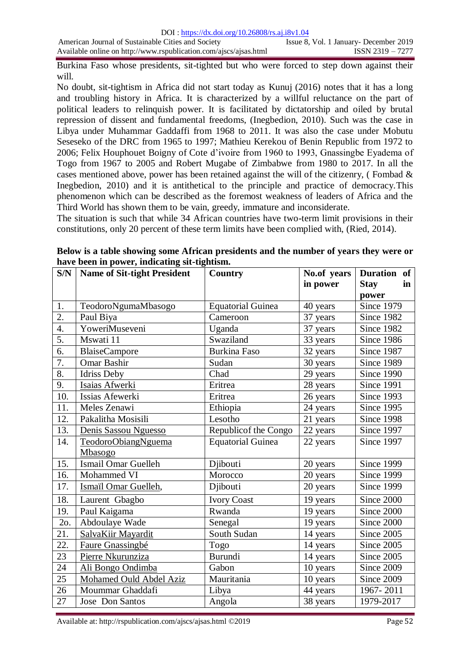Burkina Faso whose presidents, sit-tighted but who were forced to step down against their will.

No doubt, sit-tightism in Africa did not start today as Kunuj (2016) notes that it has a long and troubling history in Africa. It is characterized by a willful reluctance on the part of political leaders to relinquish power. It is facilitated by dictatorship and oiled by brutal repression of dissent and fundamental freedoms, (Inegbedion, 2010). Such was the case in Libya under Muhammar Gaddaffi from 1968 to 2011. It was also the case under Mobutu Seseseko of the DRC from 1965 to 1997; Mathieu Kerekou of Benin Republic from 1972 to 2006; Felix Houphouet Boigny of Cote d"ivoire from 1960 to 1993, Gnassingbe Eyadema of Togo from 1967 to 2005 and Robert Mugabe of Zimbabwe from 1980 to 2017. In all the cases mentioned above, power has been retained against the will of the citizenry, (Fombad  $\&$ Inegbedion, 2010) and it is antithetical to the principle and practice of democracy.This phenomenon which can be described as the foremost weakness of leaders of Africa and the Third World has shown them to be vain, greedy, immature and inconsiderate.

The situation is such that while 34 African countries have two-term limit provisions in their constitutions, only 20 percent of these term limits have been complied with, (Ried, 2014).

| S/N              | <b>Name of Sit-tight President</b> | <b>Country</b>           | No.of years | Duration of       |
|------------------|------------------------------------|--------------------------|-------------|-------------------|
|                  |                                    |                          | in power    | <b>Stay</b><br>in |
|                  |                                    |                          |             | power             |
| 1.               | TeodoroNgumaMbasogo                | <b>Equatorial Guinea</b> | 40 years    | <b>Since 1979</b> |
| $\overline{2}$ . | Paul Biya                          | Cameroon                 | 37 years    | <b>Since 1982</b> |
| 4.               | YoweriMuseveni                     | Uganda                   | 37 years    | Since 1982        |
| 5.               | Mswati 11                          | Swaziland                | 33 years    | Since 1986        |
| $\overline{6}$ . | <b>BlaiseCampore</b>               | <b>Burkina Faso</b>      | 32 years    | Since 1987        |
| 7.               | <b>Omar Bashir</b>                 | Sudan                    | 30 years    | <b>Since 1989</b> |
| 8.               | <b>Idriss Deby</b>                 | Chad                     | 29 years    | Since 1990        |
| 9.               | Isaias Afwerki                     | Eritrea                  | 28 years    | <b>Since 1991</b> |
| 10.              | Issias Afewerki                    | Eritrea                  | 26 years    | <b>Since 1993</b> |
| 11.              | Meles Zenawi                       | Ethiopia                 | 24 years    | Since 1995        |
| 12.              | Pakalitha Mosisili                 | Lesotho                  | 21 years    | Since 1998        |
| 13.              | Denis Sassou Nguesso               | Republicof the Congo     | 22 years    | Since 1997        |
| 14.              | <b>TeodoroObiangNguema</b>         | <b>Equatorial Guinea</b> | 22 years    | Since 1997        |
|                  | Mbasogo                            |                          |             |                   |
| 15.              | <b>Ismail Omar Guelleh</b>         | Djibouti                 | 20 years    | <b>Since 1999</b> |
| 16.              | Mohammed VI                        | Morocco                  | 20 years    | <b>Since 1999</b> |
| 17.              | Ismaïl Omar Guelleh,               | Djibouti                 | 20 years    | <b>Since 1999</b> |
| 18.              | Laurent Gbagbo                     | <b>Ivory Coast</b>       | 19 years    | Since 2000        |
| 19.              | Paul Kaigama                       | Rwanda                   | 19 years    | Since 2000        |
| 2o.              | Abdoulaye Wade                     | Senegal                  | 19 years    | Since 2000        |
| 21.              | SalvaKiir Mayardit                 | South Sudan              | 14 years    | Since 2005        |
| 22.              | Faure Gnassingbé                   | Togo                     | 14 years    | Since 2005        |
| 23               | Pierre Nkurunziza                  | <b>Burundi</b>           | 14 years    | Since 2005        |
| 24               | Ali Bongo Ondimba                  | Gabon                    | 10 years    | Since 2009        |
| 25               | Mohamed Ould Abdel Aziz            | Mauritania               | 10 years    | Since 2009        |
| 26               | Moummar Ghaddafi                   | Libya                    | 44 years    | 1967-2011         |
| 27               | Jose Don Santos                    | Angola                   | 38 years    | 1979-2017         |

**Below is a table showing some African presidents and the number of years they were or have been in power, indicating sit-tightism.**

Available at: http://rspublication.com/ajscs/ajsas.html ©2019 Page 52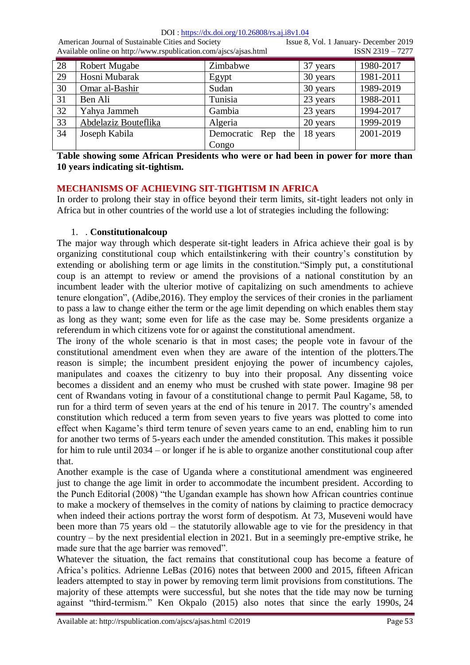DOI : https://dx.doi.org/10.26808/rs.aj.i8v1.04

American Journal of Sustainable Cities and Society Issue 8, Vol. 1 January- December 2019 Available online on http://www.rspublication.com/ajscs/ajsas.html ISSN 2319 – 7277

| 28 | Robert Mugabe        | Zimbabwe           | 37 years | 1980-2017 |
|----|----------------------|--------------------|----------|-----------|
| 29 | Hosni Mubarak        | Egypt              | 30 years | 1981-2011 |
| 30 | Omar al-Bashir       | Sudan              | 30 years | 1989-2019 |
| 31 | Ben Ali              | Tunisia            | 23 years | 1988-2011 |
| 32 | Yahya Jammeh         | Gambia             | 23 years | 1994-2017 |
| 33 | Abdelaziz Bouteflika | Algeria            | 20 years | 1999-2019 |
| 34 | Joseph Kabila        | Democratic Rep the | 18 years | 2001-2019 |
|    |                      | Congo              |          |           |

**Table showing some African Presidents who were or had been in power for more than 10 years indicating sit-tightism.**

# **MECHANISMS OF ACHIEVING SIT-TIGHTISM IN AFRICA**

In order to prolong their stay in office beyond their term limits, sit-tight leaders not only in Africa but in other countries of the world use a lot of strategies including the following:

# 1. . **Constitutionalcoup**

The major way through which desperate sit-tight leaders in Africa achieve their goal is by organizing constitutional coup which entailstinkering with their country"s constitution by extending or abolishing term or age limits in the constitution."Simply put, a constitutional coup is an attempt to review or amend the provisions of a national constitution by an incumbent leader with the ulterior motive of capitalizing on such amendments to achieve tenure elongation", (Adibe,2016). They employ the services of their cronies in the parliament to pass a law to change either the term or the age limit depending on which enables them stay as long as they want; some even for life as the case may be. Some presidents organize a referendum in which citizens vote for or against the constitutional amendment.

The irony of the whole scenario is that in most cases; the people vote in favour of the constitutional amendment even when they are aware of the intention of the plotters.The reason is simple; the incumbent president enjoying the power of incumbency cajoles, manipulates and coaxes the citizenry to buy into their proposal. Any dissenting voice becomes a dissident and an enemy who must be crushed with state power. Imagine 98 per cent of Rwandans voting in favour of a constitutional change to permit Paul Kagame, 58, to run for a third term of seven years at the end of his tenure in 2017. The country"s amended constitution which reduced a term from seven years to five years was plotted to come into effect when Kagame"s third term tenure of seven years came to an end, enabling him to run for another two terms of 5-years each under the amended constitution. This makes it possible for him to rule until 2034 – or longer if he is able to organize another constitutional coup after that.

Another example is the case of Uganda where a constitutional amendment was engineered just to change the age limit in order to accommodate the incumbent president. According to the Punch Editorial (2008) "the Ugandan example has shown how African countries continue to make a mockery of themselves in the comity of nations by claiming to practice democracy when indeed their actions portray the worst form of despotism. At 73, Museveni would have been more than 75 years old – the statutorily allowable age to vie for the presidency in that country – by the next presidential election in 2021. But in a seemingly pre-emptive strike, he made sure that the age barrier was removed".

Whatever the situation, the fact remains that constitutional coup has become a feature of Africa"s politics. Adrienne LeBas (2016) notes that between 2000 and 2015, fifteen African leaders attempted to stay in power by removing term limit provisions from constitutions. The majority of these attempts were successful, but she notes that the tide may now be turning against "third-termism." Ken Okpalo (2015) also notes that since the early 1990s, 24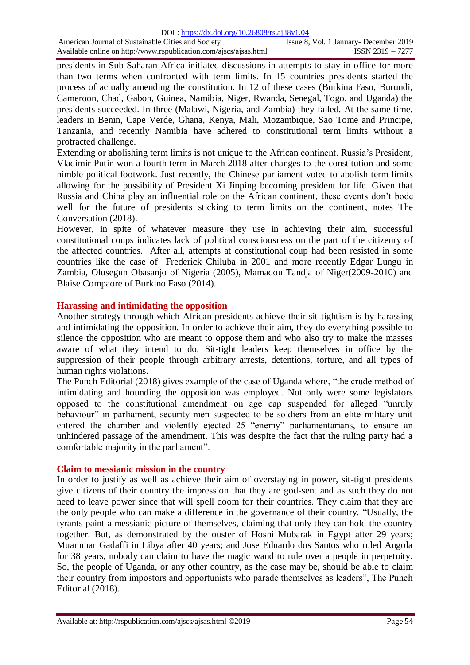presidents in Sub-Saharan Africa initiated discussions in attempts to stay in office for more than two terms when confronted with term limits. In 15 countries presidents started the process of actually amending the constitution. In 12 of these cases (Burkina Faso, Burundi, Cameroon, Chad, Gabon, Guinea, Namibia, Niger, Rwanda, Senegal, Togo, and Uganda) the presidents succeeded. In three (Malawi, Nigeria, and Zambia) they failed. At the same time, leaders in Benin, Cape Verde, Ghana, Kenya, Mali, Mozambique, Sao Tome and Principe, Tanzania, and recently Namibia have adhered to constitutional term limits without a protracted challenge.

Extending or abolishing term limits is not unique to the African continent. Russia"s President, Vladimir Putin won a fourth term [in March 2018](https://www.nytimes.com/2018/03/18/world/europe/election-russia-putin-president.html) after changes to the constitution and some nimble political footwork. Just recently, the Chinese parliament voted to abolish term limits allowing for the possibility of President Xi Jinping becoming president for life. Given that Russia and China play an influential role on the African continent, these events don"t bode well for the future of presidents sticking to term limits on the continent, notes The Conversation (2018).

However, in spite of whatever measure they use in achieving their aim, successful constitutional coups indicates lack of political consciousness on the part of the citizenry of the affected countries. After all, attempts at constitutional coup had been resisted in some countries like the case of Frederick Chiluba in 2001 and more recently Edgar Lungu in Zambia, Olusegun Obasanjo of Nigeria (2005), Mamadou Tandja of Niger(2009-2010) and Blaise Compaore of Burkino Faso (2014).

### **Harassing and intimidating the opposition**

Another strategy through which African presidents achieve their sit-tightism is by harassing and intimidating the opposition. In order to achieve their aim, they do everything possible to silence the opposition who are meant to oppose them and who also try to make the masses aware of what they intend to do. Sit-tight leaders keep themselves in office by the suppression of their people through arbitrary arrests, detentions, torture, and all types of human rights violations.

The Punch Editorial (2018) gives example of the case of Uganda where, "the crude method of intimidating and hounding the opposition was employed. Not only were some legislators opposed to the constitutional amendment on age cap suspended for alleged "unruly behaviour" in parliament, security men suspected to be soldiers from an elite military unit entered the chamber and violently ejected 25 "enemy" parliamentarians, to ensure an unhindered passage of the amendment. This was despite the fact that the ruling party had a comfortable majority in the parliament".

#### **Claim to messianic mission in the country**

In order to justify as well as achieve their aim of overstaying in power, sit-tight presidents give citizens of their country the impression that they are god-sent and as such they do not need to leave power since that will spell doom for their countries. They claim that they are the only people who can make a difference in the governance of their country. "Usually, the tyrants paint a messianic picture of themselves, claiming that only they can hold the country together. But, as demonstrated by the ouster of Hosni Mubarak in Egypt after 29 years; Muammar Gadaffi in Libya after 40 years; and Jose Eduardo dos Santos who ruled Angola for 38 years, nobody can claim to have the magic wand to rule over a people in perpetuity. So, the people of Uganda, or any other country, as the case may be, should be able to claim their country from impostors and opportunists who parade themselves as leaders", The Punch Editorial (2018).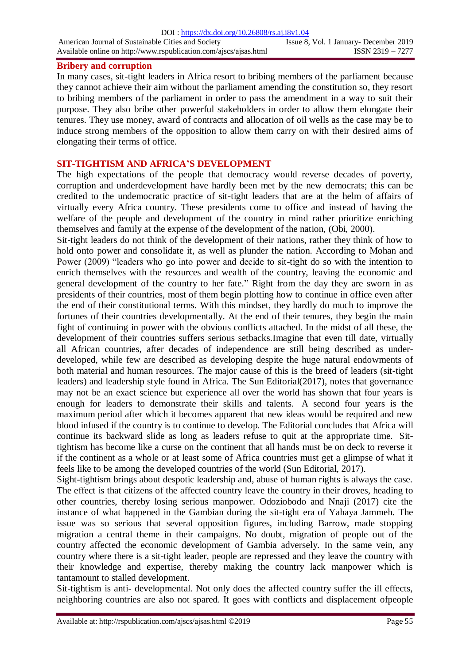#### **Bribery and corruption**

In many cases, sit-tight leaders in Africa resort to bribing members of the parliament because they cannot achieve their aim without the parliament amending the constitution so, they resort to bribing members of the parliament in order to pass the amendment in a way to suit their purpose. They also bribe other powerful stakeholders in order to allow them elongate their tenures. They use money, award of contracts and allocation of oil wells as the case may be to induce strong members of the opposition to allow them carry on with their desired aims of elongating their terms of office.

### **SIT-TIGHTISM AND AFRICA'S DEVELOPMENT**

The high expectations of the people that democracy would reverse decades of poverty, corruption and underdevelopment have hardly been met by the new democrats; this can be credited to the undemocratic practice of sit-tight leaders that are at the helm of affairs of virtually every Africa country. These presidents come to office and instead of having the welfare of the people and development of the country in mind rather prioritize enriching themselves and family at the expense of the development of the nation, (Obi, 2000).

Sit-tight leaders do not think of the development of their nations, rather they think of how to hold onto power and consolidate it, as well as plunder the nation. According to Mohan and Power (2009) "leaders who go into power and decide to sit-tight do so with the intention to enrich themselves with the resources and wealth of the country, leaving the economic and general development of the country to her fate." Right from the day they are sworn in as presidents of their countries, most of them begin plotting how to continue in office even after the end of their constitutional terms. With this mindset, they hardly do much to improve the fortunes of their countries developmentally. At the end of their tenures, they begin the main fight of continuing in power with the obvious conflicts attached. In the midst of all these, the development of their countries suffers serious setbacks.Imagine that even till date, virtually all African countries, after decades of independence are still being described as underdeveloped, while few are described as developing despite the huge natural endowments of both material and human resources. The major cause of this is the breed of leaders (sit-tight leaders) and leadership style found in Africa. The Sun Editorial(2017), notes that governance may not be an exact science but experience all over the world has shown that four years is enough for leaders to demonstrate their skills and talents. A second four years is the maximum period after which it becomes apparent that new ideas would be required and new blood infused if the country is to continue to develop. The Editorial concludes that Africa will continue its backward slide as long as leaders refuse to quit at the appropriate time. Sittightism has become like a curse on the continent that all hands must be on deck to reverse it if the continent as a whole or at least some of Africa countries must get a glimpse of what it feels like to be among the developed countries of the world (Sun Editorial, 2017).

Sight-tightism brings about despotic leadership and, abuse of human rights is always the case. The effect is that citizens of the affected country leave the country in their droves, heading to other countries, thereby losing serious manpower. Odoziobodo and Nnaji (2017) cite the instance of what happened in the Gambian during the sit-tight era of Yahaya Jammeh. The issue was so serious that several opposition figures, including Barrow, made stopping migration a central theme in their campaigns. No doubt, migration of people out of the country affected the economic development of Gambia adversely. In the same vein, any country where there is a sit-tight leader, people are repressed and they leave the country with their knowledge and expertise, thereby making the country lack manpower which is tantamount to stalled development.

Sit-tightism is anti- developmental. Not only does the affected country suffer the ill effects, neighboring countries are also not spared. It goes with conflicts and displacement ofpeople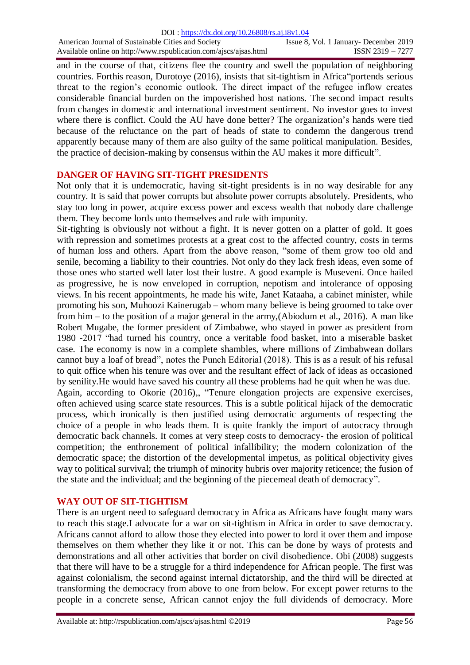and in the course of that, citizens flee the country and swell the population of neighboring countries. Forthis reason, Durotoye (2016), insists that sit-tightism in Africa"portends serious threat to the region's economic outlook. The direct impact of the refugee inflow creates considerable financial burden on the impoverished host nations. The second impact results from changes in domestic and international investment sentiment. No investor goes to invest where there is conflict. Could the AU have done better? The organization's hands were tied because of the reluctance on the part of heads of state to condemn the dangerous trend apparently because many of them are also guilty of the same political manipulation. Besides, the practice of decision-making by consensus within the AU makes it more difficult".

### **DANGER OF HAVING SIT-TIGHT PRESIDENTS**

Not only that it is undemocratic, having sit-tight presidents is in no way desirable for any country. It is said that power corrupts but absolute power corrupts absolutely. Presidents, who stay too long in power, acquire excess power and excess wealth that nobody dare challenge them. They become lords unto themselves and rule with impunity.

Sit-tighting is obviously not without a fight. It is never gotten on a platter of gold. It goes with repression and sometimes protests at a great cost to the affected country, costs in terms of human loss and others. Apart from the above reason, "some of them grow too old and senile, becoming a liability to their countries. Not only do they lack fresh ideas, even some of those ones who started well later lost their lustre. A good example is Museveni. Once hailed as progressive, he is now enveloped in corruption, nepotism and intolerance of opposing views. In his recent appointments, he made his wife, Janet Kataaha, a cabinet minister, while promoting his son, Muhoozi Kainerugab – whom many believe is being groomed to take over from him – to the position of a major general in the army,(Abiodum et al., 2016). A man like Robert Mugabe, the former president of Zimbabwe, who stayed in power as president from 1980 -2017 "had turned his country, once a veritable food basket, into a miserable basket case. The economy is now in a complete shambles, where millions of Zimbabwean dollars cannot buy a loaf of bread", notes the Punch Editorial (2018). This is as a result of his refusal to quit office when his tenure was over and the resultant effect of lack of ideas as occasioned by senility.He would have saved his country all these problems had he quit when he was due. Again, according to Okorie (2016),, "Tenure elongation projects are expensive exercises, often achieved using scarce state resources. This is a subtle political hijack of the democratic process, which ironically is then justified using democratic arguments of respecting the choice of a people in who leads them. It is quite frankly the import of autocracy through democratic back channels. It comes at very steep costs to democracy- the erosion of political competition; the enthronement of political infallibility; the modern colonization of the

democratic space; the distortion of the developmental impetus, as political objectivity gives way to political survival; the triumph of minority hubris over majority reticence; the fusion of the state and the individual; and the beginning of the piecemeal death of democracy".

# **WAY OUT OF SIT-TIGHTISM**

There is an urgent need to safeguard democracy in Africa as Africans have fought many wars to reach this stage.I advocate for a war on sit-tightism in Africa in order to save democracy. Africans cannot afford to allow those they elected into power to lord it over them and impose themselves on them whether they like it or not. This can be done by ways of protests and demonstrations and all other activities that border on civil disobedience. Obi (2008) suggests that there will have to be a struggle for a third independence for African people. The first was against colonialism, the second against internal dictatorship, and the third will be directed at transforming the democracy from above to one from below. For except power returns to the people in a concrete sense, African cannot enjoy the full dividends of democracy. More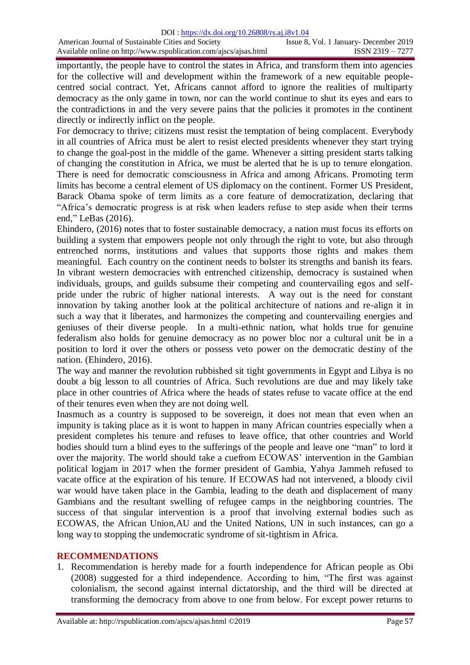importantly, the people have to control the states in Africa, and transform them into agencies for the collective will and development within the framework of a new equitable peoplecentred social contract. Yet, Africans cannot afford to ignore the realities of multiparty democracy as the only game in town, nor can the world continue to shut its eyes and ears to the contradictions in and the very severe pains that the policies it promotes in the continent directly or indirectly inflict on the people.

For democracy to thrive; citizens must resist the temptation of being complacent. Everybody in all countries of Africa must be alert to resist elected presidents whenever they start trying to change the goal-post in the middle of the game. Whenever a sitting president starts talking of changing the constitution in Africa, we must be alerted that he is up to tenure elongation. There is need for democratic consciousness in Africa and among Africans. Promoting term limits has become a central element of US diplomacy on the continent. Former US President, Barack Obama spoke of term limits as a core feature of democratization, declaring that "Africa"s democratic progress is at risk when leaders refuse to step aside when their terms end," LeBas (2016).

Ehindero, (2016) notes that to foster sustainable democracy, a nation must focus its efforts on building a system that empowers people not only through the right to vote, but also through entrenched norms, institutions and values that supports those rights and makes them meaningful. Each country on the continent needs to bolster its strengths and banish its fears. In vibrant western democracies with entrenched citizenship, democracy is sustained when individuals, groups, and guilds subsume their competing and countervailing egos and selfpride under the rubric of higher national interests. A way out is the need for constant innovation by taking another look at the political architecture of nations and re-align it in such a way that it liberates, and harmonizes the competing and countervailing energies and geniuses of their diverse people. In a multi-ethnic nation, what holds true for genuine federalism also holds for genuine democracy as no power bloc nor a cultural unit be in a position to lord it over the others or possess veto power on the democratic destiny of the nation. (Ehindero, 2016).

The way and manner the revolution rubbished sit tight governments in Egypt and Libya is no doubt a big lesson to all countries of Africa. Such revolutions are due and may likely take place in other countries of Africa where the heads of states refuse to vacate office at the end of their tenures even when they are not doing well.

Inasmuch as a country is supposed to be sovereign, it does not mean that even when an impunity is taking place as it is wont to happen in many African countries especially when a president completes his tenure and refuses to leave office, that other countries and World bodies should turn a blind eyes to the sufferings of the people and leave one "man" to lord it over the majority. The world should take a cuefrom ECOWAS' intervention in the Gambian political logjam in 2017 when the former president of Gambia, Yahya Jammeh refused to vacate office at the expiration of his tenure. If ECOWAS had not intervened, a bloody civil war would have taken place in the Gambia, leading to the death and displacement of many Gambians and the resultant swelling of refugee camps in the neighboring countries. The success of that singular intervention is a proof that involving external bodies such as ECOWAS, the African Union,AU and the United Nations, UN in such instances, can go a long way to stopping the undemocratic syndrome of sit-tightism in Africa.

#### **RECOMMENDATIONS**

1. Recommendation is hereby made for a fourth independence for African people as Obi (2008) suggested for a third independence. According to him, "The first was against colonialism, the second against internal dictatorship, and the third will be directed at transforming the democracy from above to one from below. For except power returns to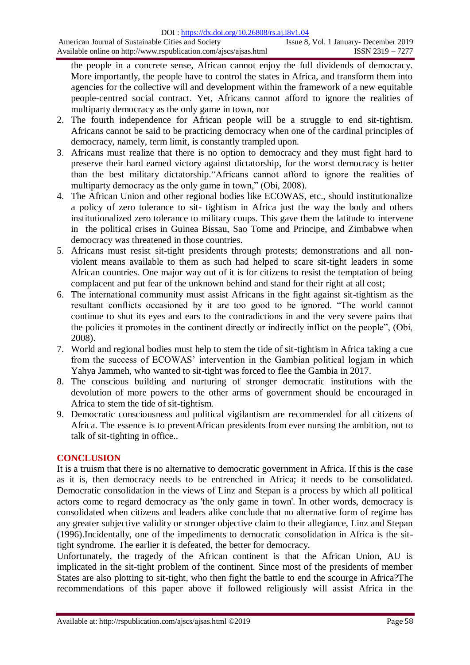the people in a concrete sense, African cannot enjoy the full dividends of democracy. More importantly, the people have to control the states in Africa, and transform them into agencies for the collective will and development within the framework of a new equitable people-centred social contract. Yet, Africans cannot afford to ignore the realities of multiparty democracy as the only game in town, nor

- 2. The fourth independence for African people will be a struggle to end sit-tightism. Africans cannot be said to be practicing democracy when one of the cardinal principles of democracy, namely, term limit, is constantly trampled upon.
- 3. Africans must realize that there is no option to democracy and they must fight hard to preserve their hard earned victory against dictatorship, for the worst democracy is better than the best military dictatorship."Africans cannot afford to ignore the realities of multiparty democracy as the only game in town," (Obi, 2008).
- 4. The African Union and other regional bodies like ECOWAS, etc., should institutionalize a policy of zero tolerance to sit- tightism in Africa just the way the body and others institutionalized zero tolerance to military coups. This gave them the latitude to intervene in the political crises in Guinea Bissau, Sao Tome and Principe, and Zimbabwe when democracy was threatened in those countries.
- 5. Africans must resist sit-tight presidents through protests; demonstrations and all nonviolent means available to them as such had helped to scare sit-tight leaders in some African countries. One major way out of it is for citizens to resist the temptation of being complacent and put fear of the unknown behind and stand for their right at all cost;
- 6. The international community must assist Africans in the fight against sit-tightism as the resultant conflicts occasioned by it are too good to be ignored. "The world cannot continue to shut its eyes and ears to the contradictions in and the very severe pains that the policies it promotes in the continent directly or indirectly inflict on the people", (Obi, 2008).
- 7. World and regional bodies must help to stem the tide of sit-tightism in Africa taking a cue from the success of ECOWAS" intervention in the Gambian political logjam in which Yahya Jammeh, who wanted to sit-tight was forced to flee the Gambia in 2017.
- 8. The conscious building and nurturing of stronger democratic institutions with the devolution of more powers to the other arms of government should be encouraged in Africa to stem the tide of sit-tightism.
- 9. Democratic consciousness and political vigilantism are recommended for all citizens of Africa. The essence is to preventAfrican presidents from ever nursing the ambition, not to talk of sit-tighting in office..

# **CONCLUSION**

It is a truism that there is no alternative to democratic government in Africa. If this is the case as it is, then democracy needs to be entrenched in Africa; it needs to be consolidated. Democratic consolidation in the views of Linz and Stepan is a process by which all political actors come to regard democracy as 'the only game in town'. In other words, democracy is consolidated when citizens and leaders alike conclude that no alternative form of regime has any greater subjective validity or stronger objective claim to their allegiance, Linz and Stepan (1996).Incidentally, one of the impediments to democratic consolidation in Africa is the sittight syndrome. The earlier it is defeated, the better for democracy.

Unfortunately, the tragedy of the African continent is that the African Union, AU is implicated in the sit-tight problem of the continent. Since most of the presidents of member States are also plotting to sit-tight, who then fight the battle to end the scourge in Africa?The recommendations of this paper above if followed religiously will assist Africa in the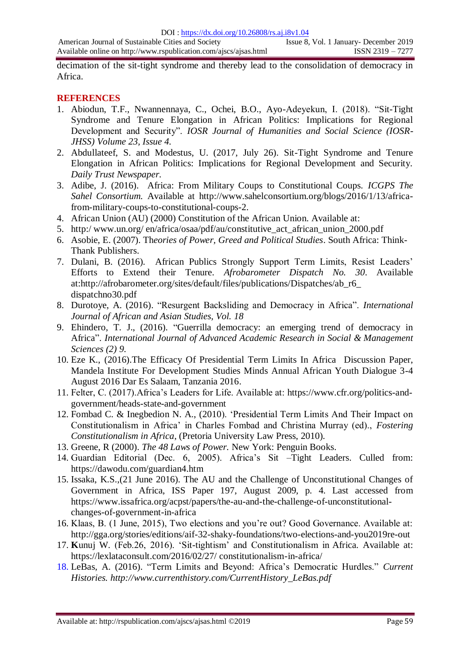decimation of the sit-tight syndrome and thereby lead to the consolidation of democracy in Africa.

### **REFERENCES**

- 1. Abiodun, T.F., Nwannennaya, C., Ochei, B.O., Ayo-Adeyekun, I. (2018). "Sit-Tight Syndrome and Tenure Elongation in African Politics: Implications for Regional Development and Security". *IOSR Journal of Humanities and Social Science (IOSR-JHSS) Volume 23, Issue 4.*
- 2. Abdullateef, S. and Modestus, U. (2017, July 26). Sit-Tight Syndrome and Tenure Elongation in African Politics: Implications for Regional Development and Security. *Daily Trust Newspaper.*
- 3. Adibe, J. (2016). Africa: From Military Coups to Constitutional Coups. *ICGPS The Sahel Consortium.* Available at http://www.sahelconsortium.org/blogs/2016/1/13/africafrom-military-coups-to-constitutional-coups-2.
- 4. African Union (AU) (2000) Constitution of the African Union. Available at:
- 5. http:/ www.un.org/ en/africa/osaa/pdf/au/constitutive\_act\_african\_union\_2000.pdf
- 6. Asobie, E. (2007). Th*eories of Power, Greed and Political Studies*. South Africa: Think-Thank Publishers.
- 7. Dulani, B. (2016). African Publics Strongly Support Term Limits, Resist Leaders" Efforts to Extend their Tenure. *Afrobarometer Dispatch No. 30*. Available at:http://afrobarometer.org/sites/default/files/publications/Dispatches/ab\_r6\_ dispatchno30.pdf
- 8. Durotoye, A. (2016). "Resurgent Backsliding and Democracy in Africa". *International Journal of African and Asian Studies, Vol. 18*
- 9. Ehindero, T. J., (2016). "Guerrilla democracy: an emerging trend of democracy in Africa". *International Journal of Advanced Academic Research in Social & Management Sciences (2) 9.*
- 10. Eze K., (2016).The Efficacy Of Presidential Term Limits In Africa Discussion Paper, Mandela Institute For Development Studies Minds Annual African Youth Dialogue 3-4 August 2016 Dar Es Salaam, Tanzania 2016.
- 11. Felter, C. (2017).Africa"s Leaders for Life. Available at: https://www.cfr.org/politics-andgovernment/heads-state-and-government
- 12. Fombad C. & Inegbedion N. A., (2010). "Presidential Term Limits And Their Impact on Constitutionalism in Africa" in Charles Fombad and Christina Murray (ed)., *Fostering Constitutionalism in Africa*, (Pretoria University Law Press, 2010).
- 13. Greene, R (2000). *The 48 Laws of Power.* New York: Penguin Books.
- 14. Guardian Editorial (Dec. 6, 2005). Africa's Sit -Tight Leaders. Culled from: https://dawodu.com/guardian4.htm
- 15. Issaka, K.S.,(21 June 2016). The AU and the Challenge of Unconstitutional Changes of Government in Africa, ISS Paper 197, August 2009, p. 4. Last accessed from https://www.issafrica.org/acpst/papers/the-au-and-the-challenge-of-unconstitutionalchanges-of-government-in-africa
- 16. Klaas, B. (1 June, 2015), Two elections and you"re out? Good Governance. Available at: http://gga.org/stories/editions/aif-32-shaky-foundations/two-elections-and-you2019re-out
- 17. **K**unuj W. (Feb.26, 2016). "Sit-tightism" and Constitutionalism in Africa. Available at: https://lexlataconsult.com/2016/02/27/ constitutionalism-in-africa/
- 18. LeBas, A. (2016). "Term Limits and Beyond: Africa"s Democratic Hurdles." *Current Histories. http://www.currenthistory.com/CurrentHistory\_LeBas.pdf*